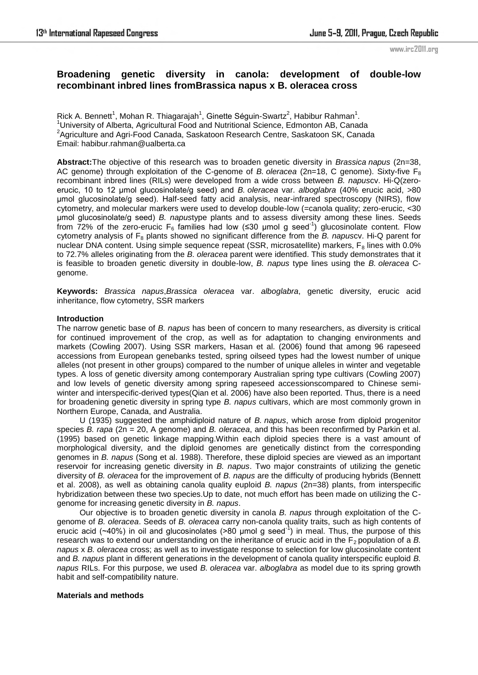www.irc2011.org

# **Broadening genetic diversity in canola: development of double-low recombinant inbred lines fromBrassica napus x B. oleracea cross**

Rick A. Bennett<sup>1</sup>, Mohan R. Thiagarajah<sup>1</sup>, Ginette Séguin-Swartz<sup>2</sup>, Habibur Rahman<sup>1</sup>. <sup>1</sup>University of Alberta, Agricultural Food and Nutritional Science, Edmonton AB, Canada <sup>2</sup>Agriculture and Agri-Food Canada, Saskatoon Research Centre, Saskatoon SK, Canada Email: habibur.rahman@ualberta.ca

**Abstract:**The objective of this research was to broaden genetic diversity in *Brassica napus* (2n=38, AC genome) through exploitation of the C-genome of *B. oleracea* (2n=18, C genome). Sixty-five  $F_8$ recombinant inbred lines (RILs) were developed from a wide cross between *B. napus*cv. Hi-Q(zeroerucic, 10 to 12 µmol glucosinolate/g seed) and *B. oleracea* var. *alboglabra* (40% erucic acid, >80 µmol glucosinolate/g seed). Half-seed fatty acid analysis, near-infrared spectroscopy (NIRS), flow cytometry, and molecular markers were used to develop double-low (=canola quality; zero-erucic, <30 µmol glucosinolate/g seed) *B. napus*type plants and to assess diversity among these lines. Seeds from 72% of the zero-erucic F<sub>6</sub> families had low (≤30 µmol g seed<sup>-1</sup>) glucosinolate content. Flow cytometry analysis of F8 plants showed no significant difference from the *B. napus*cv. Hi-Q parent for nuclear DNA content. Using simple sequence repeat (SSR, microsatellite) markers,  $F_8$  lines with 0.0% to 72.7% alleles originating from the *B. oleracea* parent were identified. This study demonstrates that it is feasible to broaden genetic diversity in double-low, *B. napus* type lines using the *B. oleracea* Cgenome.

**Keywords:** *Brassica napus*,*Brassica oleracea* var. *alboglabra*, genetic diversity, erucic acid inheritance, flow cytometry, SSR markers

# **Introduction**

The narrow genetic base of *B. napus* has been of concern to many researchers, as diversity is critical for continued improvement of the crop, as well as for adaptation to changing environments and markets (Cowling 2007). Using SSR markers, Hasan et al. (2006) found that among 96 rapeseed accessions from European genebanks tested, spring oilseed types had the lowest number of unique alleles (not present in other groups) compared to the number of unique alleles in winter and vegetable types. A loss of genetic diversity among contemporary Australian spring type cultivars (Cowling 2007) and low levels of genetic diversity among spring rapeseed accessionscompared to Chinese semiwinter and interspecific-derived types(Qian et al. 2006) have also been reported. Thus, there is a need for broadening genetic diversity in spring type *B. napus* cultivars, which are most commonly grown in Northern Europe, Canada, and Australia.

 U (1935) suggested the amphidiploid nature of *B. napus*, which arose from diploid progenitor species *B. rapa* (2n = 20, A genome) and *B. oleracea*, and this has been reconfirmed by Parkin et al. (1995) based on genetic linkage mapping.Within each diploid species there is a vast amount of morphological diversity, and the diploid genomes are genetically distinct from the corresponding genomes in *B. napus* (Song et al. 1988). Therefore, these diploid species are viewed as an important reservoir for increasing genetic diversity in *B. napus*. Two major constraints of utilizing the genetic diversity of *B. oleracea* for the improvement of *B. napus* are the difficulty of producing hybrids (Bennett et al. 2008), as well as obtaining canola quality euploid *B. napus* (2n=38) plants, from interspecific hybridization between these two species.Up to date, not much effort has been made on utilizing the Cgenome for increasing genetic diversity in *B. napus*.

 Our objective is to broaden genetic diversity in canola *B. napus* through exploitation of the Cgenome of *B. oleracea*. Seeds of *B. oleracea* carry non-canola quality traits, such as high contents of erucic acid ( $-40\%$ ) in oil and glucosinolates ( $>80$  µmol g seed<sup>-1</sup>) in meal. Thus, the purpose of this research was to extend our understanding on the inheritance of erucic acid in the  $F<sub>2</sub>$  population of a  $B$ . *napus* x *B. oleracea* cross; as well as to investigate response to selection for low glucosinolate content and *B. napus* plant in different generations in the development of canola quality interspecific euploid *B. napus* RILs. For this purpose, we used *B. oleracea* var. *alboglabra* as model due to its spring growth habit and self-compatibility nature.

# **Materials and methods**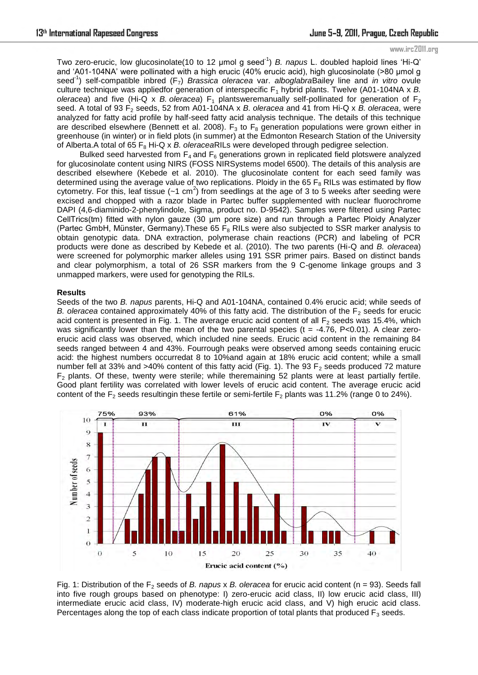#### www.irc2011.org

Two zero-erucic, low glucosinolate(10 to 12 μmol g seed-1) *B. napus* L. doubled haploid lines ‗Hi-Q' and ‗A01-104NA' were pollinated with a high erucic (40% erucic acid), high glucosinolate (>80 μmol g seed-1) self-compatible inbred (F7) *Brassica oleracea* var. *alboglabra*Bailey line and *in vitro* ovule culture technique was appliedfor generation of interspecific F<sub>1</sub> hybrid plants. Twelve (A01-104NA x *B. oleracea*) and five (Hi-Q x *B. oleracea*)  $F_1$  plantsweremanually self-pollinated for generation of  $F_2$ seed. A total of 93 F<sub>2</sub> seeds, 52 from A01-104NA x *B. oleracea* and 41 from Hi-Q x *B. oleracea*, were analyzed for fatty acid profile by half-seed fatty acid analysis technique. The details of this technique are described elsewhere (Bennett et al. 2008).  $F_3$  to  $F_8$  generation populations were grown either in greenhouse (in winter) or in field plots (in summer) at the Edmonton Research Station of the University of Alberta.A total of 65 F<sub>8</sub> Hi-Q x *B. oleraceaRILs* were developed through pedigree selection.

Bulked seed harvested from  $F_4$  and  $F_6$  generations grown in replicated field plotswere analyzed for glucosinolate content using NIRS (FOSS NIRSystems model 6500). The details of this analysis are described elsewhere (Kebede et al. 2010). The glucosinolate content for each seed family was determined using the average value of two replications. Ploidy in the 65  $F_8$  RILs was estimated by flow cytometry. For this, leaf tissue ( $-1$  cm<sup>2</sup>) from seedlings at the age of 3 to 5 weeks after seeding were excised and chopped with a razor blade in Partec buffer supplemented with nuclear fluorochrome DAPI (4,6-diaminido-2-phenylindole, Sigma, product no. D-9542). Samples were filtered using Partec CellTrics(tm) fitted with nylon gauze (30 µm pore size) and run through a Partec Ploidy Analyzer (Partec GmbH, Münster, Germany). These 65  $F_8$  RILs were also subjected to SSR marker analysis to obtain genotypic data. DNA extraction, polymerase chain reactions (PCR) and labeling of PCR products were done as described by Kebede et al. (2010). The two parents (Hi-Q and *B. oleracea*) were screened for polymorphic marker alleles using 191 SSR primer pairs. Based on distinct bands and clear polymorphism, a total of 26 SSR markers from the 9 C-genome linkage groups and 3 unmapped markers, were used for genotyping the RILs.

### **Results**

Seeds of the two *B. napus* parents, Hi-Q and A01-104NA, contained 0.4% erucic acid; while seeds of *B. oleracea* contained approximately 40% of this fatty acid. The distribution of the  $F_2$  seeds for erucic acid content is presented in Fig. 1. The average erucic acid content of all  $F_2$  seeds was 15.4%, which was significantly lower than the mean of the two parental species (t = -4.76, P<0.01). A clear zeroerucic acid class was observed, which included nine seeds. Erucic acid content in the remaining 84 seeds ranged between 4 and 43%. Fourrough peaks were observed among seeds containing erucic acid: the highest numbers occurredat 8 to 10%and again at 18% erucic acid content; while a small number fell at 33% and >40% content of this fatty acid (Fig. 1). The 93  $F<sub>2</sub>$  seeds produced 72 mature  $F<sub>2</sub>$  plants. Of these, twenty were sterile; while theremaining 52 plants were at least partially fertile. Good plant fertility was correlated with lower levels of erucic acid content. The average erucic acid content of the  $F_2$  seeds resultingin these fertile or semi-fertile  $F_2$  plants was 11.2% (range 0 to 24%).



Fig. 1: Distribution of the F<sub>2</sub> seeds of *B. napus* x *B. oleracea* for erucic acid content (n = 93). Seeds fall into five rough groups based on phenotype: I) zero-erucic acid class, II) low erucic acid class, III) intermediate erucic acid class, IV) moderate-high erucic acid class, and V) high erucic acid class. Percentages along the top of each class indicate proportion of total plants that produced  $F_3$  seeds.